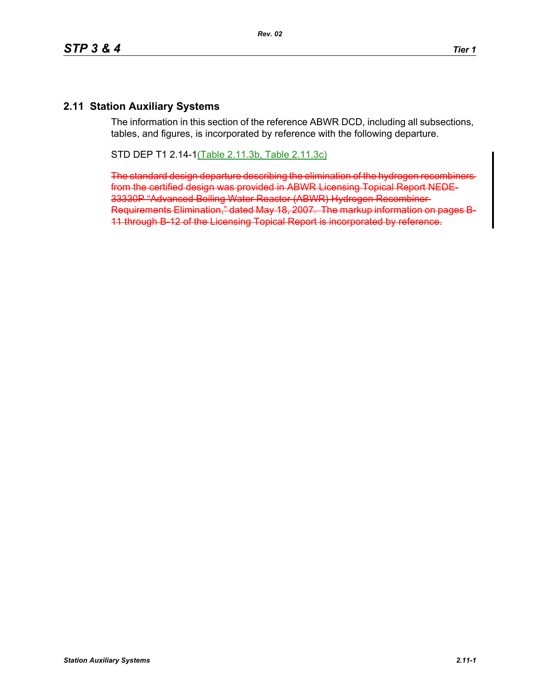## **2.11 Station Auxiliary Systems**

The information in this section of the reference ABWR DCD, including all subsections, tables, and figures, is incorporated by reference with the following departure.

STD DEP T1 2.14-1(Table 2.11.3b, Table 2.11.3c)

The standard design departure describing the elimination of the hydrogen recombiners from the certified design was provided in ABWR Licensing Topical Report NEDE-33330P "Advanced Boiling Water Reactor (ABWR) Hydrogen Recombiner Requirements Elimination," dated May 18, 2007. The markup information on 11 through B-12 of the Licensing Topical Report is incorporated by reference.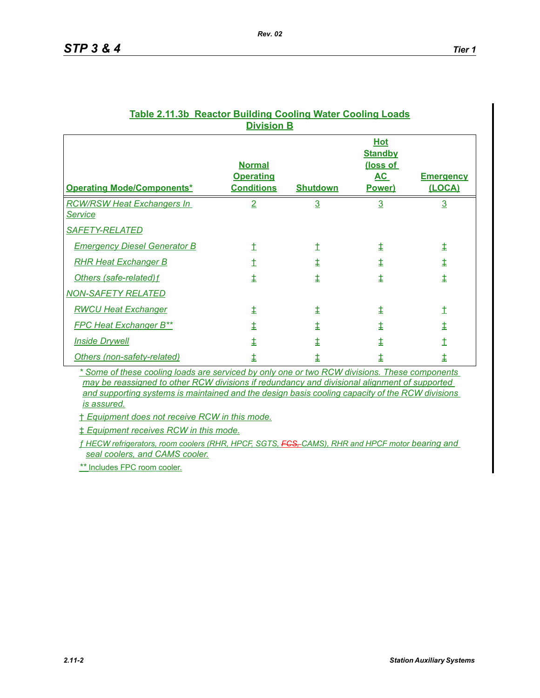|                                                     | .                                                      |                 |                                                                 |                            |
|-----------------------------------------------------|--------------------------------------------------------|-----------------|-----------------------------------------------------------------|----------------------------|
| <b>Operating Mode/Components*</b>                   | <b>Normal</b><br><b>Operating</b><br><b>Conditions</b> | <b>Shutdown</b> | <b>Hot</b><br><b>Standby</b><br>(loss of<br><u>AC</u><br>Power) | <b>Emergency</b><br>(LOCA) |
| <b>RCW/RSW Heat Exchangers In</b><br><u>Service</u> | $\overline{2}$                                         | $\overline{3}$  | $\overline{3}$                                                  | $\overline{3}$             |
| <b>SAFETY-RELATED</b>                               |                                                        |                 |                                                                 |                            |
| <b>Emergency Diesel Generator B</b>                 | t                                                      | İ               | 圭                                                               | ⇟                          |
| <b>RHR Heat Exchanger B</b>                         | t                                                      | ŧ               | ŧ                                                               | ŧ                          |
| Others (safe-related) f                             | 圭                                                      | ŧ               | ŧ                                                               | ŧ                          |
| <b>NON-SAFETY RELATED</b>                           |                                                        |                 |                                                                 |                            |
| <b>RWCU Heat Exchanger</b>                          | ŧ                                                      | 圭               | ŧ                                                               | İ                          |
| <b>FPC Heat Exchanger B**</b>                       | ŧ                                                      | ŧ               | ŧ                                                               | ŧ                          |
| <b>Inside Drywell</b>                               | ↨                                                      | ŧ               | ↨                                                               | Ì                          |
| Others (non-safety-related)                         | ↨                                                      | ↨               | ŧ                                                               | ŧ                          |

## **Table 2.11.3b Reactor Building Cooling Water Cooling Loads Division B**

*Rev. 02*

*\* Some of these cooling loads are serviced by only one or two RCW divisions. These components may be reassigned to other RCW divisions if redundancy and divisional alignment of supported and supporting systems is maintained and the design basis cooling capacity of the RCW divisions is assured.*

† *Equipment does not receive RCW in this mode.*

‡ *Equipment receives RCW in this mode.*

*ƒ HECW refrigerators, room coolers (RHR, HPCF, SGTS, FCS, CAMS), RHR and HPCF motor bearing and seal coolers, and CAMS cooler.*

*\*\** Includes FPC room cooler.